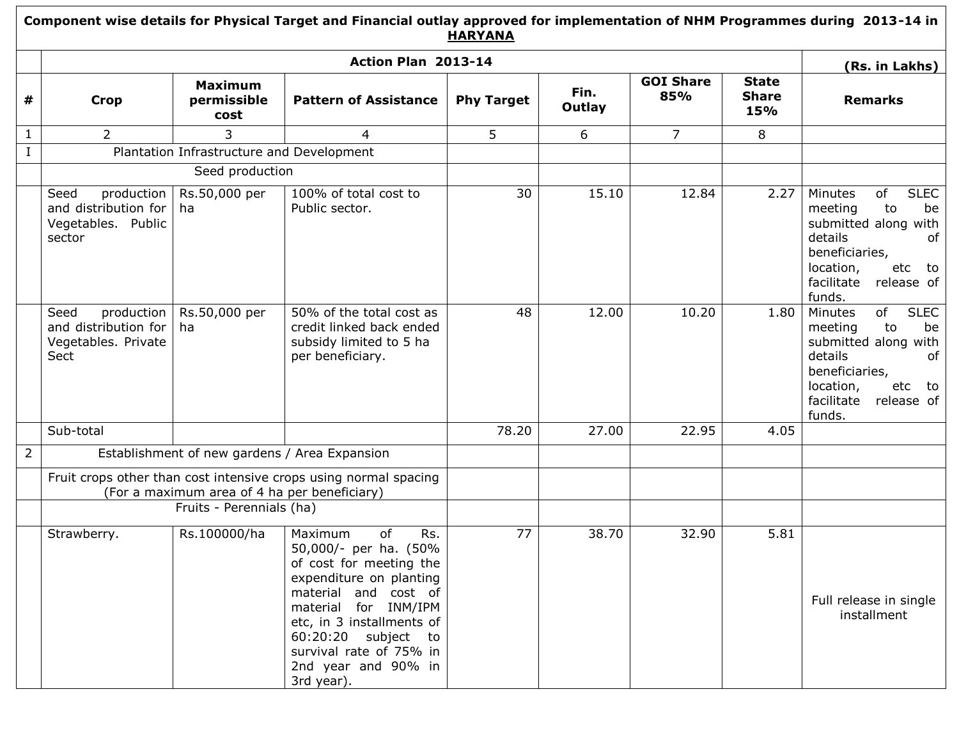|                | Component wise details for Physical Target and Financial outlay approved for implementation of NHM Programmes during 2013-14 in<br><b>HARYANA</b> |                                                                          |                                                                                                                                                                                                                                                                         |                   |                |                         |                                     |                                                                                                                                                                                |  |  |  |
|----------------|---------------------------------------------------------------------------------------------------------------------------------------------------|--------------------------------------------------------------------------|-------------------------------------------------------------------------------------------------------------------------------------------------------------------------------------------------------------------------------------------------------------------------|-------------------|----------------|-------------------------|-------------------------------------|--------------------------------------------------------------------------------------------------------------------------------------------------------------------------------|--|--|--|
|                |                                                                                                                                                   |                                                                          | Action Plan 2013-14                                                                                                                                                                                                                                                     |                   |                |                         |                                     | (Rs. in Lakhs)                                                                                                                                                                 |  |  |  |
| #              | <b>Crop</b>                                                                                                                                       | <b>Maximum</b><br>permissible<br>cost                                    | <b>Pattern of Assistance</b>                                                                                                                                                                                                                                            | <b>Phy Target</b> | Fin.<br>Outlay | <b>GOI Share</b><br>85% | <b>State</b><br><b>Share</b><br>15% | <b>Remarks</b>                                                                                                                                                                 |  |  |  |
| $\mathbf{1}$   | $\overline{2}$                                                                                                                                    | 3                                                                        | 4                                                                                                                                                                                                                                                                       | 5                 | 6              | $\overline{7}$          | 8                                   |                                                                                                                                                                                |  |  |  |
|                |                                                                                                                                                   | Plantation Infrastructure and Development                                |                                                                                                                                                                                                                                                                         |                   |                |                         |                                     |                                                                                                                                                                                |  |  |  |
|                | Seed production                                                                                                                                   |                                                                          |                                                                                                                                                                                                                                                                         |                   |                |                         |                                     |                                                                                                                                                                                |  |  |  |
|                | production<br>Seed<br>and distribution for<br>Vegetables. Public<br>sector                                                                        | Rs.50,000 per<br>ha                                                      | 100% of total cost to<br>Public sector.                                                                                                                                                                                                                                 | 30                | 15.10          | 12.84                   | 2.27                                | <b>SLEC</b><br>of<br>Minutes<br>meeting<br>to<br>be<br>submitted along with<br>details<br>0f<br>beneficiaries,<br>location,<br>etc<br>to<br>facilitate<br>release of<br>funds. |  |  |  |
|                | production<br>Seed<br>and distribution for<br>Vegetables. Private<br>Sect                                                                         | Rs.50,000 per<br>ha                                                      | 50% of the total cost as<br>credit linked back ended<br>subsidy limited to 5 ha<br>per beneficiary.                                                                                                                                                                     | 48                | 12.00          | 10.20                   | 1.80                                | of<br><b>SLEC</b><br>Minutes<br>meeting<br>to<br>be<br>submitted along with<br>details<br>of<br>beneficiaries,<br>location,<br>etc<br>to<br>facilitate<br>release of<br>funds. |  |  |  |
|                | Sub-total                                                                                                                                         |                                                                          |                                                                                                                                                                                                                                                                         | 78.20             | 27.00          | 22.95                   | 4.05                                |                                                                                                                                                                                |  |  |  |
| $\overline{2}$ |                                                                                                                                                   |                                                                          | Establishment of new gardens / Area Expansion                                                                                                                                                                                                                           |                   |                |                         |                                     |                                                                                                                                                                                |  |  |  |
|                |                                                                                                                                                   | (For a maximum area of 4 ha per beneficiary)<br>Fruits - Perennials (ha) | Fruit crops other than cost intensive crops using normal spacing                                                                                                                                                                                                        |                   |                |                         |                                     |                                                                                                                                                                                |  |  |  |
|                | Strawberry.                                                                                                                                       | Rs.100000/ha                                                             | of<br>Rs.<br>Maximum<br>50,000/- per ha. (50%<br>of cost for meeting the<br>expenditure on planting<br>material and cost of<br>material for INM/IPM<br>etc, in 3 installments of<br>60:20:20 subject to<br>survival rate of 75% in<br>2nd year and 90% in<br>3rd year). | 77                | 38.70          | 32.90                   | 5.81                                | Full release in single<br>installment                                                                                                                                          |  |  |  |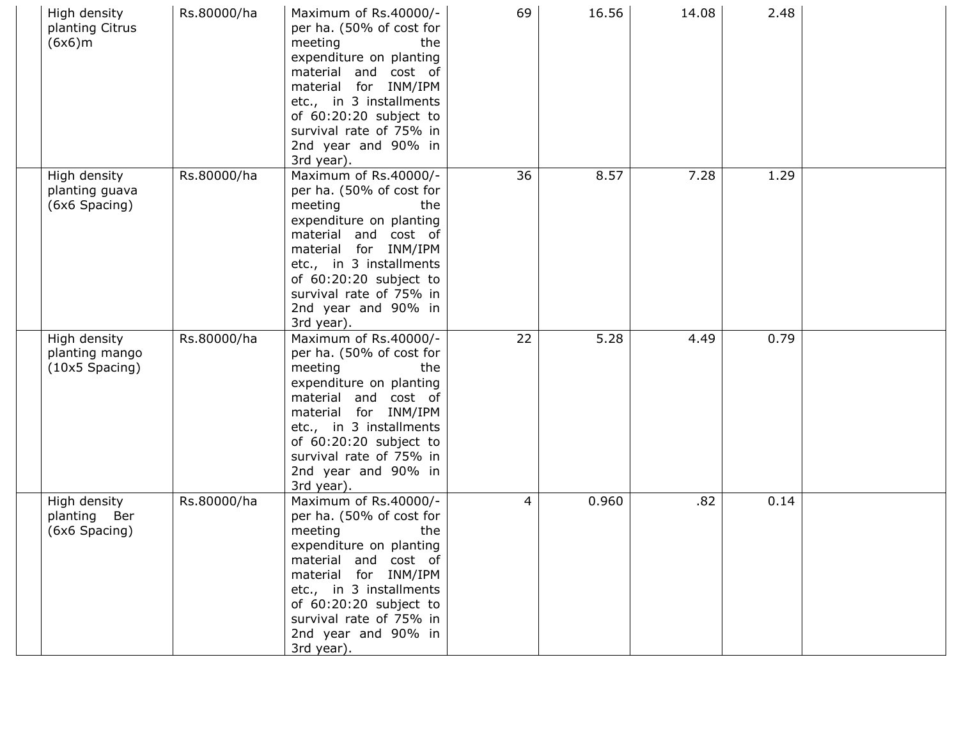| High density<br>planting Citrus<br>(6x6)m          | Rs.80000/ha | Maximum of Rs.40000/-<br>per ha. (50% of cost for<br>meeting<br>the<br>expenditure on planting<br>material and cost of<br>material for INM/IPM<br>etc., in 3 installments<br>of 60:20:20 subject to<br>survival rate of 75% in<br>2nd year and 90% in<br>3rd year). | 69 | 16.56 | 14.08 | 2.48 |  |
|----------------------------------------------------|-------------|---------------------------------------------------------------------------------------------------------------------------------------------------------------------------------------------------------------------------------------------------------------------|----|-------|-------|------|--|
| High density<br>planting guava<br>(6x6 Spacing)    | Rs.80000/ha | Maximum of Rs.40000/-<br>per ha. (50% of cost for<br>meeting<br>the<br>expenditure on planting<br>material and cost of<br>material for INM/IPM<br>etc., in 3 installments<br>of 60:20:20 subject to<br>survival rate of 75% in<br>2nd year and 90% in<br>3rd year). | 36 | 8.57  | 7.28  | 1.29 |  |
| High density<br>planting mango<br>$(10x5$ Spacing) | Rs.80000/ha | Maximum of Rs.40000/-<br>per ha. (50% of cost for<br>meeting<br>the<br>expenditure on planting<br>material and cost of<br>material for INM/IPM<br>etc., in 3 installments<br>of 60:20:20 subject to<br>survival rate of 75% in<br>2nd year and 90% in<br>3rd year). | 22 | 5.28  | 4.49  | 0.79 |  |
| High density<br>planting Ber<br>(6x6 Spacing)      | Rs.80000/ha | Maximum of Rs.40000/-<br>per ha. (50% of cost for<br>meeting<br>the<br>expenditure on planting<br>material and cost of<br>material for INM/IPM<br>etc., in 3 installments<br>of 60:20:20 subject to<br>survival rate of 75% in<br>2nd year and 90% in<br>3rd year). | 4  | 0.960 | .82   | 0.14 |  |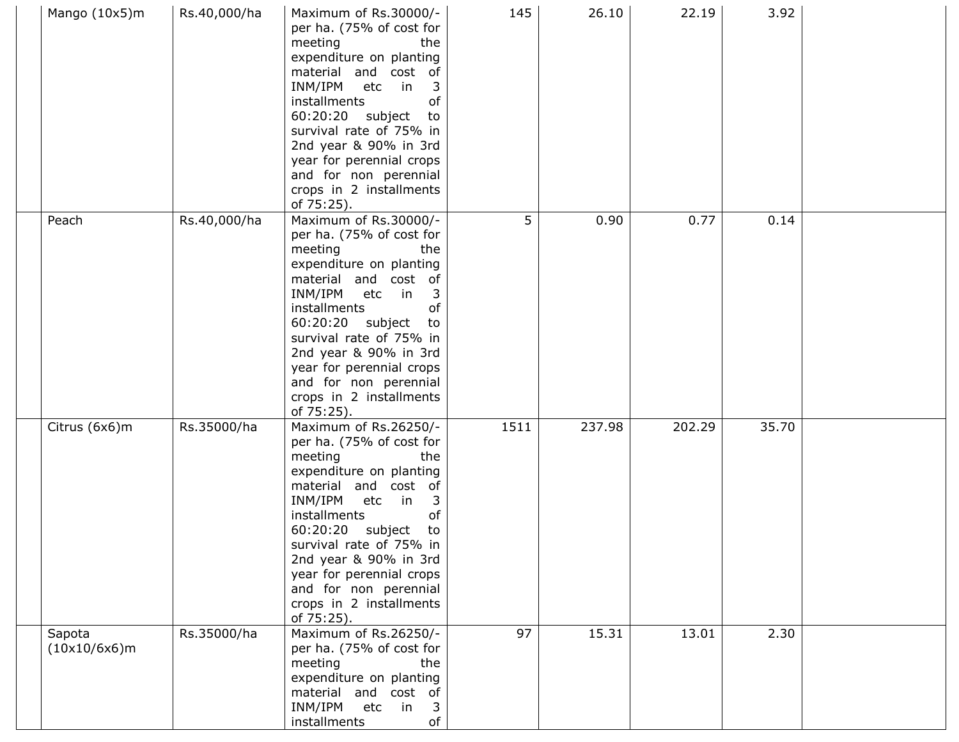| Mango (10x5)m          | Rs.40,000/ha | Maximum of Rs.30000/-<br>per ha. (75% of cost for<br>meeting<br>the<br>expenditure on planting<br>material and cost of<br>INM/IPM<br>etc<br>$\mathsf{in}$<br>3<br>installments<br>оf<br>60:20:20 subject<br>to<br>survival rate of 75% in<br>2nd year & 90% in 3rd<br>year for perennial crops<br>and for non perennial<br>crops in 2 installments<br>of 75:25). | 145  | 26.10  | 22.19  | 3.92  |  |
|------------------------|--------------|------------------------------------------------------------------------------------------------------------------------------------------------------------------------------------------------------------------------------------------------------------------------------------------------------------------------------------------------------------------|------|--------|--------|-------|--|
| Peach                  | Rs.40,000/ha | Maximum of Rs.30000/-<br>per ha. (75% of cost for<br>meeting<br>the<br>expenditure on planting<br>material and cost of<br>INM/IPM etc<br>in in<br>3<br>installments<br>of<br>60:20:20 subject<br>to<br>survival rate of 75% in<br>2nd year & 90% in 3rd<br>year for perennial crops<br>and for non perennial<br>crops in 2 installments<br>of 75:25).            | 5    | 0.90   | 0.77   | 0.14  |  |
| Citrus (6x6)m          | Rs.35000/ha  | Maximum of Rs.26250/-<br>per ha. (75% of cost for<br>meeting<br>the<br>expenditure on planting<br>material and cost of<br>INM/IPM etc<br>$\mathsf{in}$<br>3<br>installments<br>of<br>60:20:20 subject<br>to<br>survival rate of 75% in<br>2nd year & 90% in 3rd<br>year for perennial crops<br>and for non perennial<br>crops in 2 installments<br>of 75:25).    | 1511 | 237.98 | 202.29 | 35.70 |  |
| Sapota<br>(10x10/6x6)m | Rs.35000/ha  | Maximum of Rs.26250/-<br>per ha. (75% of cost for<br>meeting<br>the<br>expenditure on planting<br>material and cost of<br>INM/IPM<br>etc<br>$\overline{\mathsf{in}}$<br>3<br>installments<br>of                                                                                                                                                                  | 97   | 15.31  | 13.01  | 2.30  |  |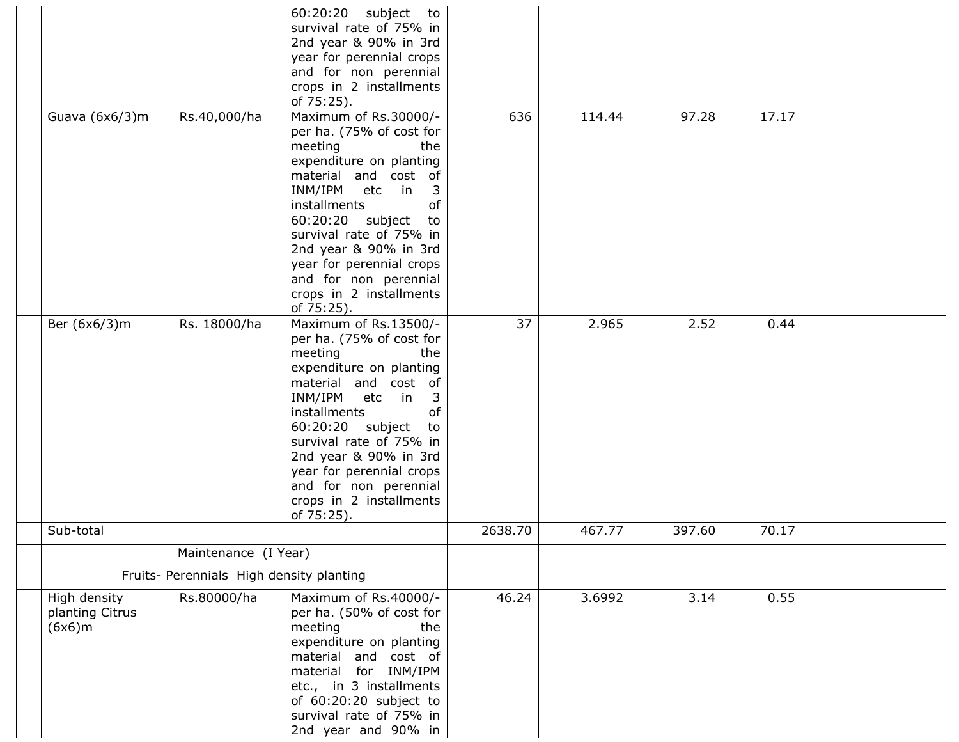|                                 |                                          | 60:20:20 subject to<br>survival rate of 75% in                       |         |        |        |       |  |
|---------------------------------|------------------------------------------|----------------------------------------------------------------------|---------|--------|--------|-------|--|
|                                 |                                          | 2nd year & 90% in 3rd<br>year for perennial crops                    |         |        |        |       |  |
|                                 |                                          | and for non perennial                                                |         |        |        |       |  |
|                                 |                                          | crops in 2 installments<br>of 75:25).                                |         |        |        |       |  |
| Guava (6x6/3)m                  | Rs.40,000/ha                             | Maximum of Rs.30000/-                                                | 636     | 114.44 | 97.28  | 17.17 |  |
|                                 |                                          | per ha. (75% of cost for<br>meeting<br>the                           |         |        |        |       |  |
|                                 |                                          | expenditure on planting                                              |         |        |        |       |  |
|                                 |                                          | material and cost of<br>INM/IPM etc<br>$\overline{\mathsf{in}}$<br>3 |         |        |        |       |  |
|                                 |                                          | installments<br>of                                                   |         |        |        |       |  |
|                                 |                                          | 60:20:20 subject<br>to<br>survival rate of 75% in                    |         |        |        |       |  |
|                                 |                                          | 2nd year & 90% in 3rd                                                |         |        |        |       |  |
|                                 |                                          | year for perennial crops<br>and for non perennial                    |         |        |        |       |  |
|                                 |                                          | crops in 2 installments                                              |         |        |        |       |  |
| Ber (6x6/3)m                    | Rs. 18000/ha                             | of 75:25).<br>Maximum of Rs.13500/-                                  | 37      | 2.965  | 2.52   | 0.44  |  |
|                                 |                                          | per ha. (75% of cost for                                             |         |        |        |       |  |
|                                 |                                          | meeting<br>the<br>expenditure on planting                            |         |        |        |       |  |
|                                 |                                          | material and cost of                                                 |         |        |        |       |  |
|                                 |                                          | INM/IPM etc<br>3<br>$\overline{\mathsf{in}}$<br>of<br>installments   |         |        |        |       |  |
|                                 |                                          | 60:20:20 subject<br>to                                               |         |        |        |       |  |
|                                 |                                          | survival rate of 75% in<br>2nd year & 90% in 3rd                     |         |        |        |       |  |
|                                 |                                          | year for perennial crops                                             |         |        |        |       |  |
|                                 |                                          | and for non perennial<br>crops in 2 installments                     |         |        |        |       |  |
|                                 |                                          | of 75:25).                                                           |         |        |        |       |  |
| Sub-total                       |                                          |                                                                      | 2638.70 | 467.77 | 397.60 | 70.17 |  |
|                                 | Maintenance (I Year)                     |                                                                      |         |        |        |       |  |
|                                 | Fruits- Perennials High density planting |                                                                      |         |        |        |       |  |
| High density<br>planting Citrus | Rs.80000/ha                              | Maximum of Rs.40000/-<br>per ha. (50% of cost for                    | 46.24   | 3.6992 | 3.14   | 0.55  |  |
| (6x6)m                          |                                          | meeting<br>the                                                       |         |        |        |       |  |
|                                 |                                          | expenditure on planting<br>material and cost of                      |         |        |        |       |  |
|                                 |                                          | material for INM/IPM                                                 |         |        |        |       |  |
|                                 |                                          | etc., in 3 installments<br>of 60:20:20 subject to                    |         |        |        |       |  |
|                                 |                                          | survival rate of 75% in                                              |         |        |        |       |  |
|                                 |                                          | 2nd year and 90% in                                                  |         |        |        |       |  |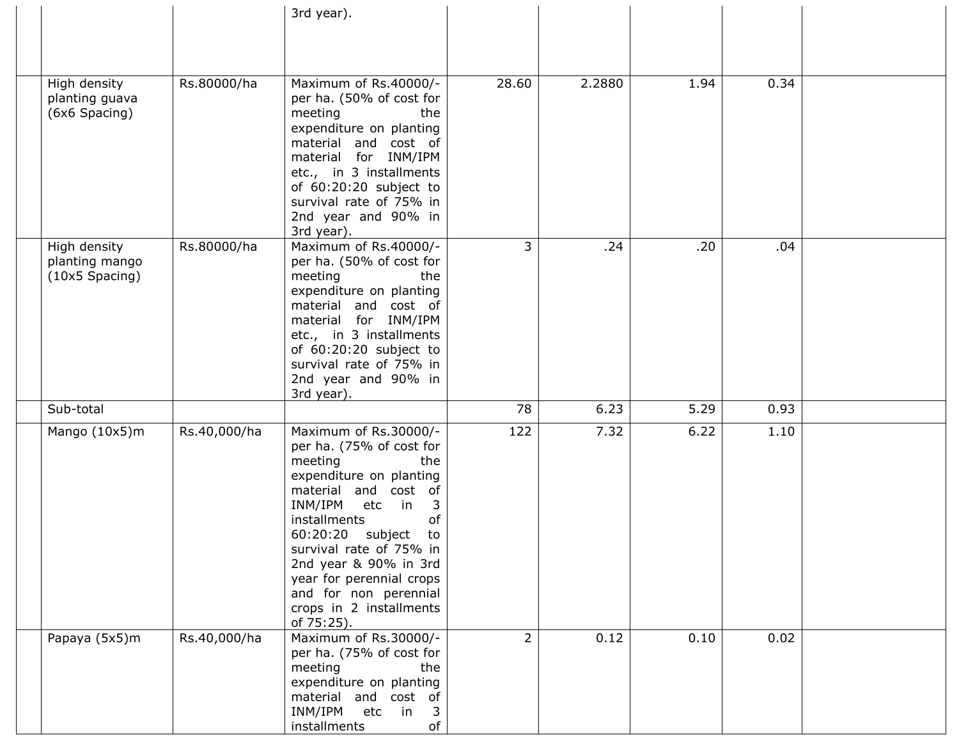|                                                    |              | 3rd year).                                                                                                                                                                                                                                                                                                                                         |                |        |      |      |  |
|----------------------------------------------------|--------------|----------------------------------------------------------------------------------------------------------------------------------------------------------------------------------------------------------------------------------------------------------------------------------------------------------------------------------------------------|----------------|--------|------|------|--|
|                                                    |              |                                                                                                                                                                                                                                                                                                                                                    |                |        |      |      |  |
| High density<br>planting guava<br>(6x6 Spacing)    | Rs.80000/ha  | Maximum of Rs.40000/-<br>per ha. (50% of cost for<br>meeting<br>the<br>expenditure on planting<br>material and cost of<br>material for INM/IPM<br>etc., in 3 installments<br>of 60:20:20 subject to<br>survival rate of 75% in<br>2nd year and 90% in<br>3rd year).                                                                                | 28.60          | 2.2880 | 1.94 | 0.34 |  |
| High density<br>planting mango<br>$(10x5$ Spacing) | Rs.80000/ha  | Maximum of Rs.40000/-<br>per ha. (50% of cost for<br>meeting<br>the<br>expenditure on planting<br>material and cost of<br>material for INM/IPM<br>etc., in 3 installments<br>of 60:20:20 subject to<br>survival rate of 75% in<br>2nd year and 90% in<br>3rd year).                                                                                | 3              | .24    | .20  | .04  |  |
| Sub-total                                          |              |                                                                                                                                                                                                                                                                                                                                                    | 78             | 6.23   | 5.29 | 0.93 |  |
| Mango (10x5)m                                      | Rs.40,000/ha | Maximum of Rs.30000/-<br>per ha. (75% of cost for<br>meeting<br>the<br>expenditure on planting<br>material and cost of<br>INM/IPM<br>etc in<br>3<br>installments<br>of<br>60:20:20 subject<br>to<br>survival rate of 75% in<br>2nd year & 90% in 3rd<br>year for perennial crops<br>and for non perennial<br>crops in 2 installments<br>of 75:25). | 122            | 7.32   | 6.22 | 1.10 |  |
| Papaya (5x5)m                                      | Rs.40,000/ha | Maximum of Rs.30000/-<br>per ha. (75% of cost for<br>meeting<br>the<br>expenditure on planting<br>material and cost of<br>INM/IPM<br>etc in<br>3<br>of<br>installments                                                                                                                                                                             | $\overline{2}$ | 0.12   | 0.10 | 0.02 |  |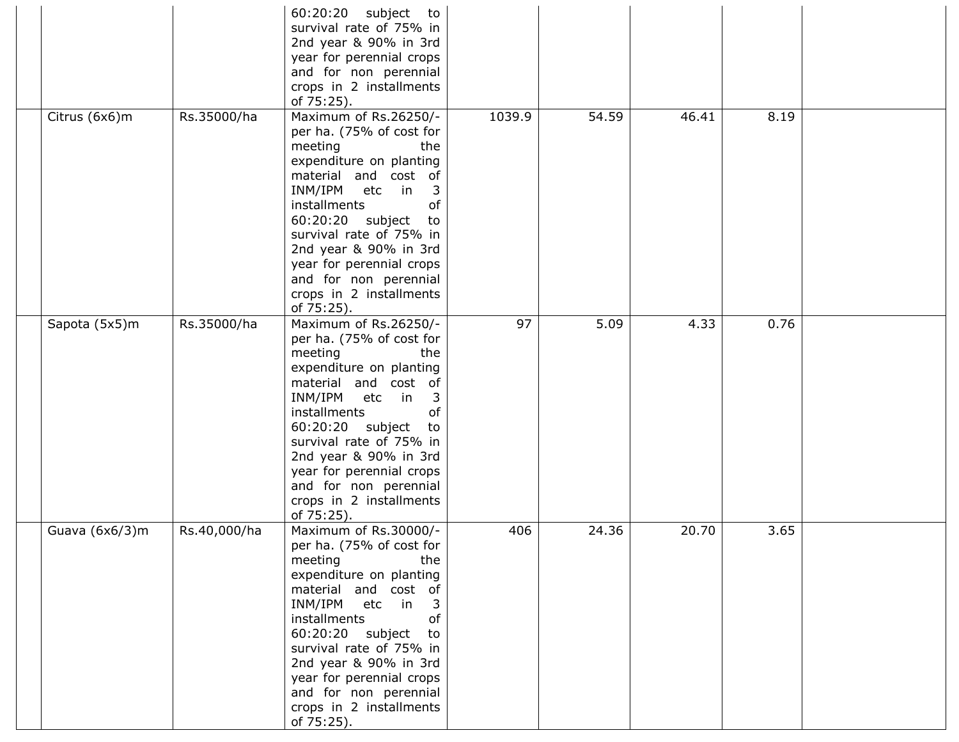|                |              | 60:20:20 subject to<br>survival rate of 75% in<br>2nd year & 90% in 3rd<br>year for perennial crops<br>and for non perennial<br>crops in 2 installments<br>of 75:25).                                                                                                                                                                              |        |       |       |      |  |
|----------------|--------------|----------------------------------------------------------------------------------------------------------------------------------------------------------------------------------------------------------------------------------------------------------------------------------------------------------------------------------------------------|--------|-------|-------|------|--|
| Citrus (6x6)m  | Rs.35000/ha  | Maximum of Rs.26250/-<br>per ha. (75% of cost for<br>meeting<br>the<br>expenditure on planting<br>material and cost of<br>INM/IPM<br>etc in<br>3<br>installments<br>of<br>60:20:20 subject<br>to<br>survival rate of 75% in<br>2nd year & 90% in 3rd<br>year for perennial crops<br>and for non perennial<br>crops in 2 installments<br>of 75:25). | 1039.9 | 54.59 | 46.41 | 8.19 |  |
| Sapota (5x5)m  | Rs.35000/ha  | Maximum of Rs.26250/-<br>per ha. (75% of cost for<br>meeting<br>the<br>expenditure on planting<br>material and cost of<br>INM/IPM etc in<br>3<br>installments<br>of<br>60:20:20 subject<br>to<br>survival rate of 75% in<br>2nd year & 90% in 3rd<br>year for perennial crops<br>and for non perennial<br>crops in 2 installments<br>of 75:25).    | 97     | 5.09  | 4.33  | 0.76 |  |
| Guava (6x6/3)m | Rs.40,000/ha | Maximum of Rs.30000/-<br>per ha. (75% of cost for<br>meeting<br>the<br>expenditure on planting<br>material and cost of<br>INM/IPM<br>etc in<br>3<br>installments<br>of<br>60:20:20 subject<br>to<br>survival rate of 75% in<br>2nd year & 90% in 3rd<br>year for perennial crops<br>and for non perennial<br>crops in 2 installments<br>of 75:25). | 406    | 24.36 | 20.70 | 3.65 |  |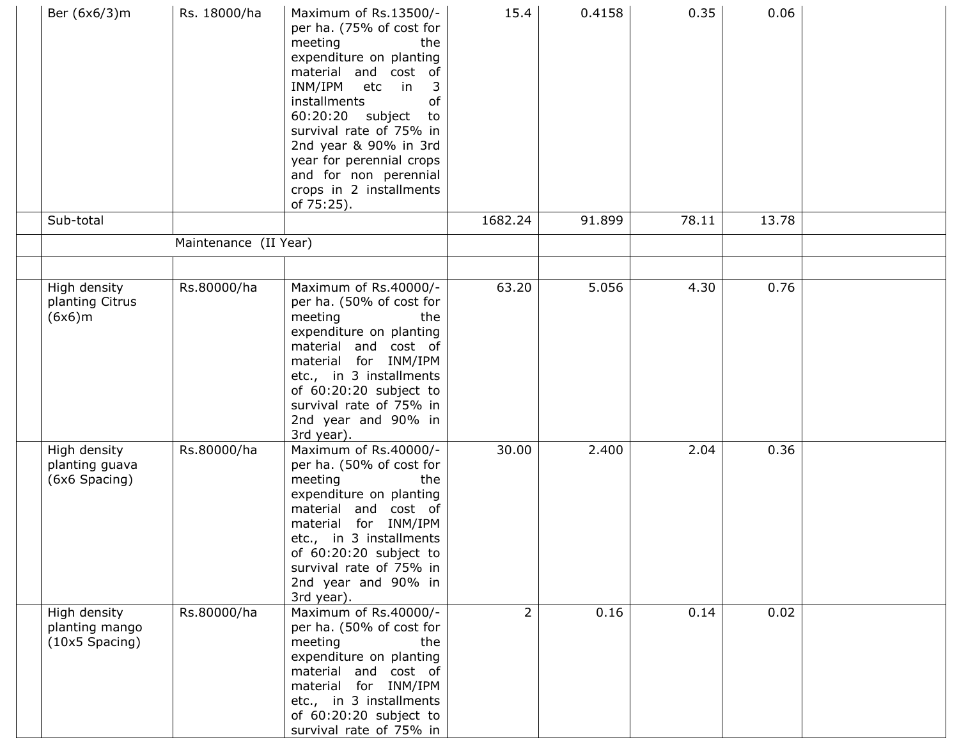| Ber (6x6/3)m                                       | Rs. 18000/ha          | Maximum of Rs.13500/-<br>per ha. (75% of cost for<br>meeting<br>the<br>expenditure on planting<br>material and cost of<br>INM/IPM<br>etc in<br>installments<br>of<br>60:20:20 subject<br>to<br>survival rate of 75% in<br>2nd year & 90% in 3rd<br>year for perennial crops<br>and for non perennial<br>crops in 2 installments<br>of 75:25). | 15.4           | 0.4158 | 0.35  | 0.06  |  |
|----------------------------------------------------|-----------------------|-----------------------------------------------------------------------------------------------------------------------------------------------------------------------------------------------------------------------------------------------------------------------------------------------------------------------------------------------|----------------|--------|-------|-------|--|
| Sub-total                                          |                       |                                                                                                                                                                                                                                                                                                                                               | 1682.24        | 91.899 | 78.11 | 13.78 |  |
|                                                    | Maintenance (II Year) |                                                                                                                                                                                                                                                                                                                                               |                |        |       |       |  |
|                                                    |                       |                                                                                                                                                                                                                                                                                                                                               |                |        |       |       |  |
| High density<br>planting Citrus<br>(6x6)m          | Rs.80000/ha           | Maximum of Rs.40000/-<br>per ha. (50% of cost for<br>meeting<br>the<br>expenditure on planting<br>material and cost of<br>material for INM/IPM<br>etc., in 3 installments<br>of 60:20:20 subject to<br>survival rate of 75% in<br>2nd year and 90% in<br>3rd year).                                                                           | 63.20          | 5.056  | 4.30  | 0.76  |  |
| High density<br>planting guava<br>(6x6 Spacing)    | Rs.80000/ha           | Maximum of Rs.40000/-<br>per ha. (50% of cost for<br>meeting<br>the<br>expenditure on planting<br>material and cost of<br>material for INM/IPM<br>etc., in 3 installments<br>of 60:20:20 subject to<br>survival rate of 75% in<br>2nd year and 90% in<br>3rd year).                                                                           | 30.00          | 2.400  | 2.04  | 0.36  |  |
| High density<br>planting mango<br>$(10x5$ Spacing) | Rs.80000/ha           | Maximum of Rs.40000/-<br>per ha. (50% of cost for<br>meeting<br>the<br>expenditure on planting<br>material and cost of<br>material for INM/IPM<br>etc., in 3 installments<br>of 60:20:20 subject to<br>survival rate of 75% in                                                                                                                | $\overline{2}$ | 0.16   | 0.14  | 0.02  |  |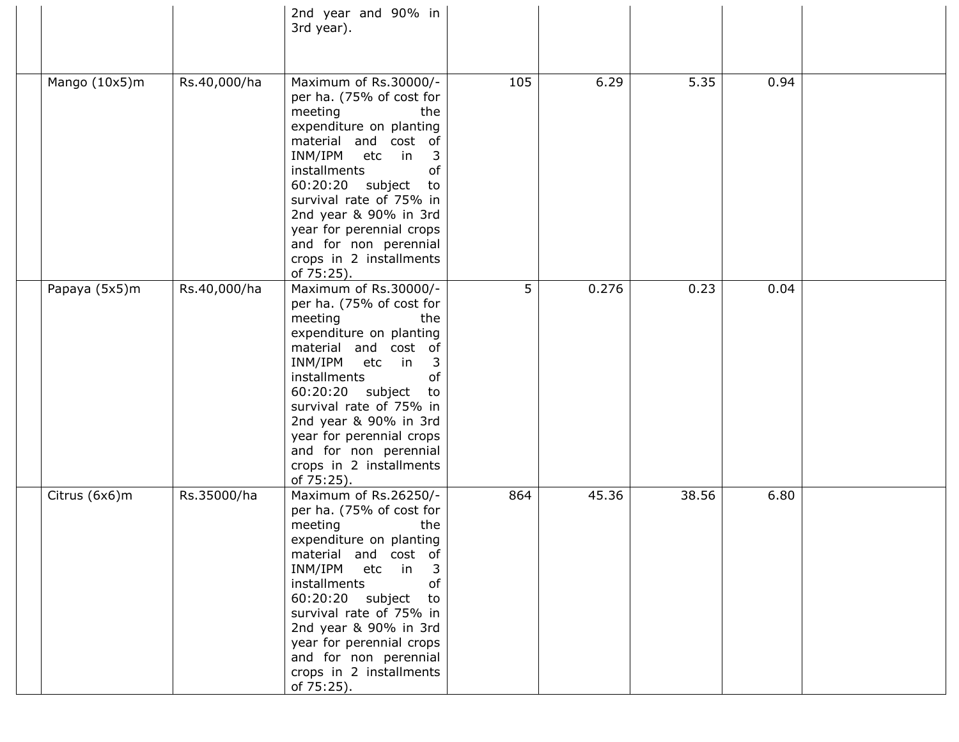|               |              | 2nd year and 90% in<br>3rd year).                                                                                                                                                                                                                                                                                                                  |     |       |       |      |  |
|---------------|--------------|----------------------------------------------------------------------------------------------------------------------------------------------------------------------------------------------------------------------------------------------------------------------------------------------------------------------------------------------------|-----|-------|-------|------|--|
| Mango (10x5)m | Rs.40,000/ha | Maximum of Rs.30000/-<br>per ha. (75% of cost for<br>meeting<br>the<br>expenditure on planting<br>material and cost of<br>INM/IPM etc in<br>3<br>installments<br>of<br>60:20:20 subject<br>to<br>survival rate of 75% in<br>2nd year & 90% in 3rd<br>year for perennial crops<br>and for non perennial<br>crops in 2 installments<br>of 75:25).    | 105 | 6.29  | 5.35  | 0.94 |  |
| Papaya (5x5)m | Rs.40,000/ha | Maximum of Rs.30000/-<br>per ha. (75% of cost for<br>meeting<br>the<br>expenditure on planting<br>material and cost of<br>INM/IPM<br>etc in<br>3<br>installments<br>of<br>60:20:20 subject<br>to<br>survival rate of 75% in<br>2nd year & 90% in 3rd<br>year for perennial crops<br>and for non perennial<br>crops in 2 installments<br>of 75:25). | 5   | 0.276 | 0.23  | 0.04 |  |
| Citrus (6x6)m | Rs.35000/ha  | Maximum of Rs.26250/-<br>per ha. (75% of cost for<br>meeting<br>the<br>expenditure on planting<br>material and cost of<br>INM/IPM etc in<br>3<br>of<br>installments<br>60:20:20 subject<br>to<br>survival rate of 75% in<br>2nd year & 90% in 3rd<br>year for perennial crops<br>and for non perennial<br>crops in 2 installments<br>of 75:25).    | 864 | 45.36 | 38.56 | 6.80 |  |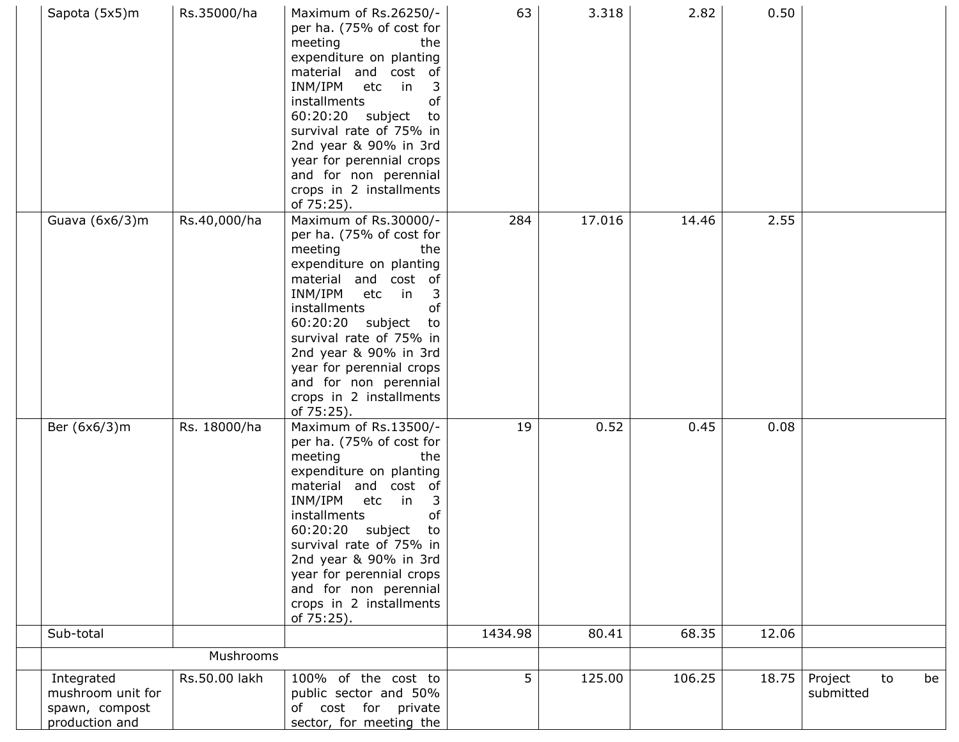| Sapota (5x5)m                                                       | Rs.35000/ha   | Maximum of Rs.26250/-<br>per ha. (75% of cost for<br>meeting<br>the<br>expenditure on planting<br>material and cost of<br>INM/IPM<br>etc in<br>installments<br>of<br>60:20:20 subject<br>to<br>survival rate of 75% in<br>2nd year & 90% in 3rd<br>year for perennial crops<br>and for non perennial<br>crops in 2 installments<br>of 75:25).                               | 63             | 3.318  | 2.82   | 0.50  |                      |    |    |
|---------------------------------------------------------------------|---------------|-----------------------------------------------------------------------------------------------------------------------------------------------------------------------------------------------------------------------------------------------------------------------------------------------------------------------------------------------------------------------------|----------------|--------|--------|-------|----------------------|----|----|
| Guava (6x6/3)m                                                      | Rs.40,000/ha  | Maximum of Rs.30000/-<br>per ha. (75% of cost for<br>meeting<br>the<br>expenditure on planting<br>material and cost of<br>INM/IPM etc in<br>installments<br>of<br>60:20:20 subject<br>to<br>survival rate of 75% in<br>2nd year & 90% in 3rd<br>year for perennial crops<br>and for non perennial<br>crops in 2 installments<br>of 75:25).                                  | 284            | 17.016 | 14.46  | 2.55  |                      |    |    |
| Ber (6x6/3)m                                                        | Rs. 18000/ha  | Maximum of Rs.13500/-<br>per ha. (75% of cost for<br>meeting<br>the<br>expenditure on planting<br>material and cost of<br>INM/IPM<br>etc<br>$\overline{\mathsf{in}}$<br>3<br>installments<br>of<br>60:20:20 subject<br>to<br>survival rate of 75% in<br>2nd year & 90% in 3rd<br>year for perennial crops<br>and for non perennial<br>crops in 2 installments<br>of 75:25). | 19             | 0.52   | 0.45   | 0.08  |                      |    |    |
| Sub-total                                                           |               |                                                                                                                                                                                                                                                                                                                                                                             | 1434.98        | 80.41  | 68.35  | 12.06 |                      |    |    |
|                                                                     | Mushrooms     |                                                                                                                                                                                                                                                                                                                                                                             |                |        |        |       |                      |    |    |
| Integrated<br>mushroom unit for<br>spawn, compost<br>production and | Rs.50.00 lakh | 100% of the cost to<br>public sector and 50%<br>of cost for private<br>sector, for meeting the                                                                                                                                                                                                                                                                              | 5 <sup>1</sup> | 125.00 | 106.25 | 18.75 | Project<br>submitted | to | be |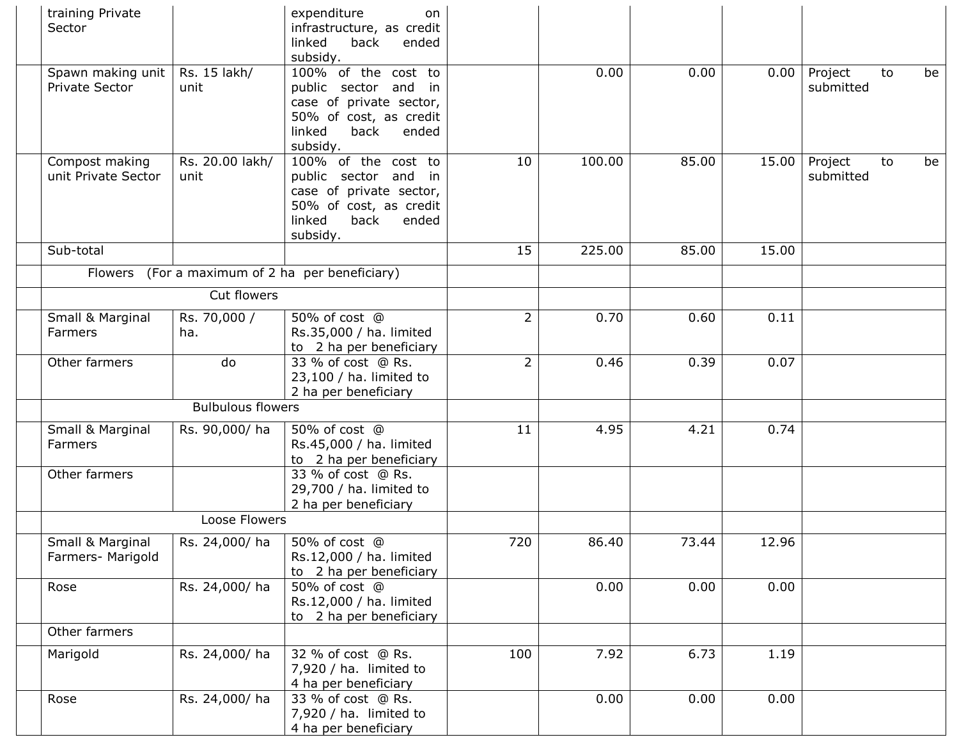| training Private<br>Sector            |                          | expenditure<br>on<br>infrastructure, as credit<br>linked<br>back<br>ended<br>subsidy.                                                   |                |        |       |       |                      |    |    |
|---------------------------------------|--------------------------|-----------------------------------------------------------------------------------------------------------------------------------------|----------------|--------|-------|-------|----------------------|----|----|
| Spawn making unit<br>Private Sector   | Rs. 15 lakh/<br>unit     | 100% of the cost to<br>public sector and in<br>case of private sector,<br>50% of cost, as credit<br>linked<br>back<br>ended<br>subsidy. |                | 0.00   | 0.00  | 0.00  | Project<br>submitted | to | be |
| Compost making<br>unit Private Sector | Rs. 20.00 lakh/<br>unit  | 100% of the cost to<br>public sector and in<br>case of private sector,<br>50% of cost, as credit<br>linked<br>back<br>ended<br>subsidy. | 10             | 100.00 | 85.00 | 15.00 | Project<br>submitted | to | be |
| Sub-total                             |                          |                                                                                                                                         | 15             | 225.00 | 85.00 | 15.00 |                      |    |    |
| Flowers                               |                          | (For a maximum of 2 ha per beneficiary)                                                                                                 |                |        |       |       |                      |    |    |
|                                       | Cut flowers              |                                                                                                                                         |                |        |       |       |                      |    |    |
| Small & Marginal<br>Farmers           | Rs. 70,000 /<br>ha.      | 50% of cost @<br>Rs.35,000 / ha. limited<br>to 2 ha per beneficiary                                                                     | $\overline{2}$ | 0.70   | 0.60  | 0.11  |                      |    |    |
| Other farmers                         | do                       | 33 % of cost @ Rs.<br>23,100 / ha. limited to<br>2 ha per beneficiary                                                                   | $\overline{2}$ | 0.46   | 0.39  | 0.07  |                      |    |    |
|                                       | <b>Bulbulous flowers</b> |                                                                                                                                         |                |        |       |       |                      |    |    |
| Small & Marginal<br>Farmers           | Rs. 90,000/ ha           | 50% of cost @<br>Rs.45,000 / ha. limited<br>to 2 ha per beneficiary                                                                     | 11             | 4.95   | 4.21  | 0.74  |                      |    |    |
| Other farmers                         |                          | 33 % of cost @ Rs.<br>29,700 / ha. limited to<br>2 ha per beneficiary                                                                   |                |        |       |       |                      |    |    |
|                                       | Loose Flowers            |                                                                                                                                         |                |        |       |       |                      |    |    |
| Small & Marginal<br>Farmers- Marigold | Rs. 24,000/ ha           | 50% of cost @<br>Rs.12,000 / ha. limited<br>to 2 ha per beneficiary                                                                     | 720            | 86.40  | 73.44 | 12.96 |                      |    |    |
| Rose                                  | Rs. 24,000/ha            | 50% of cost @<br>Rs.12,000 / ha. limited<br>to 2 ha per beneficiary                                                                     |                | 0.00   | 0.00  | 0.00  |                      |    |    |
| Other farmers                         |                          |                                                                                                                                         |                |        |       |       |                      |    |    |
| Marigold                              | Rs. 24,000/ha            | 32 % of cost @ Rs.<br>$7,920$ / ha. limited to<br>4 ha per beneficiary                                                                  | 100            | 7.92   | 6.73  | 1.19  |                      |    |    |
| Rose                                  | Rs. 24,000/ha            | 33 % of cost @ Rs.<br>$7,920$ / ha. limited to<br>4 ha per beneficiary                                                                  |                | 0.00   | 0.00  | 0.00  |                      |    |    |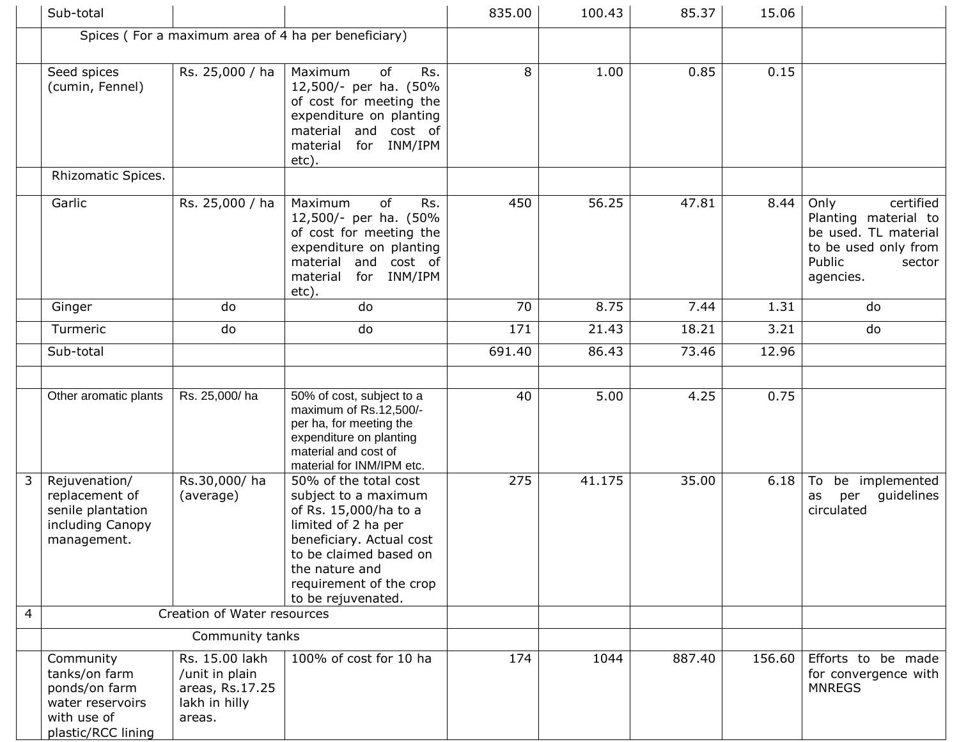|                | Sub-total                                                                                            |                                                                                |                                                                                                                                                                                                                        | 835.00 | 100.43 | 85.37  | 15.06  |                                                                                                                            |
|----------------|------------------------------------------------------------------------------------------------------|--------------------------------------------------------------------------------|------------------------------------------------------------------------------------------------------------------------------------------------------------------------------------------------------------------------|--------|--------|--------|--------|----------------------------------------------------------------------------------------------------------------------------|
|                |                                                                                                      |                                                                                | Spices (For a maximum area of 4 ha per beneficiary)                                                                                                                                                                    |        |        |        |        |                                                                                                                            |
|                | Seed spices<br>(cumin, Fennel)                                                                       | Rs. 25,000 / ha                                                                | Rs.<br>Maximum<br>of<br>12,500/- per ha. (50%<br>of cost for meeting the<br>expenditure on planting<br>material and cost of<br>material for INM/IPM<br>etc).                                                           | 8      | 1.00   | 0.85   | 0.15   |                                                                                                                            |
|                | Rhizomatic Spices.                                                                                   |                                                                                |                                                                                                                                                                                                                        |        |        |        |        |                                                                                                                            |
|                | Garlic                                                                                               | Rs. 25,000 / ha                                                                | of<br>Rs.<br>Maximum<br>12,500/- per ha. (50%<br>of cost for meeting the<br>expenditure on planting<br>material and cost of<br>for INM/IPM<br>material<br>etc).                                                        | 450    | 56.25  | 47.81  | 8.44   | certified<br>Only<br>Planting material to<br>be used. TL material<br>to be used only from<br>Public<br>sector<br>agencies. |
|                | Ginger                                                                                               | do                                                                             | do                                                                                                                                                                                                                     | 70     | 8.75   | 7.44   | 1.31   | do                                                                                                                         |
|                | Turmeric                                                                                             | do                                                                             | do                                                                                                                                                                                                                     | 171    | 21.43  | 18.21  | 3.21   | do                                                                                                                         |
|                | Sub-total                                                                                            |                                                                                |                                                                                                                                                                                                                        | 691.40 | 86.43  | 73.46  | 12.96  |                                                                                                                            |
|                |                                                                                                      |                                                                                |                                                                                                                                                                                                                        |        |        |        |        |                                                                                                                            |
|                | Other aromatic plants                                                                                | Rs. 25,000/ha                                                                  | 50% of cost, subject to a<br>maximum of Rs.12,500/-<br>per ha, for meeting the<br>expenditure on planting<br>material and cost of<br>material for INM/IPM etc.                                                         | 40     | 5.00   | 4.25   | 0.75   |                                                                                                                            |
| 3 <sup>7</sup> | Rejuvenation/<br>replacement of<br>senile plantation<br>including Canopy<br>management.              | Rs.30,000/ha<br>(average)                                                      | 50% of the total cost<br>subject to a maximum<br>of Rs. 15,000/ha to a<br>limited of 2 ha per<br>beneficiary. Actual cost<br>to be claimed based on<br>the nature and<br>requirement of the crop<br>to be rejuvenated. | 275    | 41.175 | 35.00  | 6.18   | be implemented<br>To<br>guidelines<br>as<br>per<br>circulated                                                              |
| 4              | Creation of Water resources                                                                          |                                                                                |                                                                                                                                                                                                                        |        |        |        |        |                                                                                                                            |
|                | Community tanks                                                                                      |                                                                                |                                                                                                                                                                                                                        |        |        |        |        |                                                                                                                            |
|                | Community<br>tanks/on farm<br>ponds/on farm<br>water reservoirs<br>with use of<br>plastic/RCC lining | Rs. 15.00 lakh<br>/unit in plain<br>areas, Rs.17.25<br>lakh in hilly<br>areas. | 100% of cost for 10 ha                                                                                                                                                                                                 | 174    | 1044   | 887.40 | 156.60 | Efforts to be made<br>for convergence with<br><b>MNREGS</b>                                                                |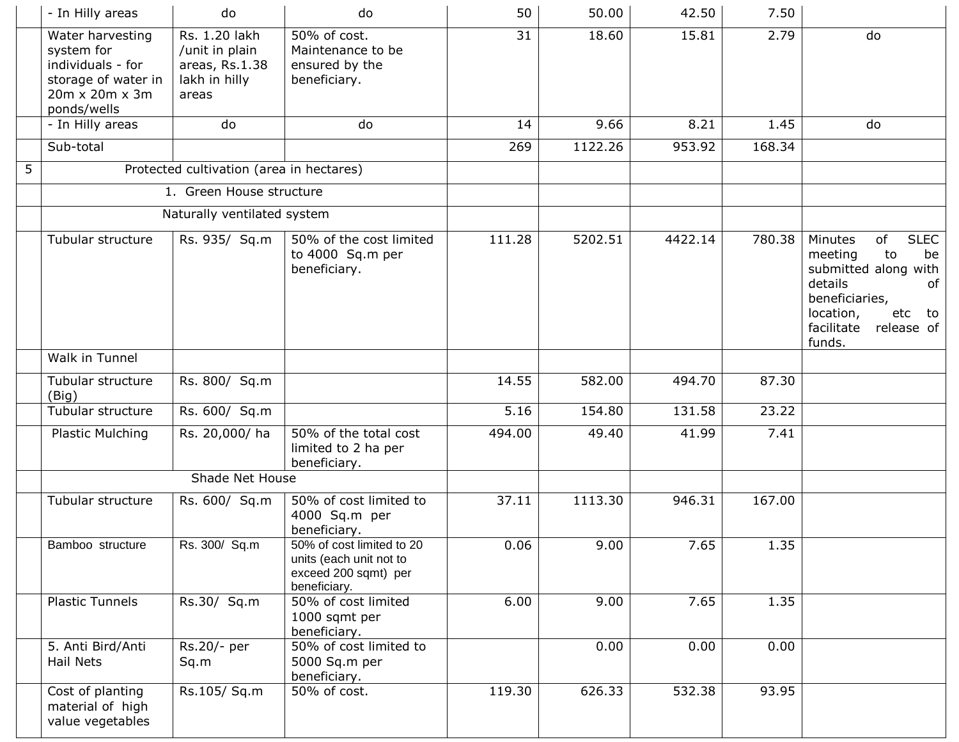|   | - In Hilly areas                                                                                            | do                                                                          | do                                                                                           | 50     | 50.00   | 42.50   | 7.50   |                                                                                                                                                                             |
|---|-------------------------------------------------------------------------------------------------------------|-----------------------------------------------------------------------------|----------------------------------------------------------------------------------------------|--------|---------|---------|--------|-----------------------------------------------------------------------------------------------------------------------------------------------------------------------------|
|   | Water harvesting<br>system for<br>individuals - for<br>storage of water in<br>20m x 20m x 3m<br>ponds/wells | Rs. 1.20 lakh<br>/unit in plain<br>areas, Rs.1.38<br>lakh in hilly<br>areas | 50% of cost.<br>Maintenance to be<br>ensured by the<br>beneficiary.                          | 31     | 18.60   | 15.81   | 2.79   | do                                                                                                                                                                          |
|   | - In Hilly areas                                                                                            | do                                                                          | do                                                                                           | 14     | 9.66    | 8.21    | 1.45   | do                                                                                                                                                                          |
|   | Sub-total                                                                                                   |                                                                             |                                                                                              | 269    | 1122.26 | 953.92  | 168.34 |                                                                                                                                                                             |
| 5 |                                                                                                             | Protected cultivation (area in hectares)                                    |                                                                                              |        |         |         |        |                                                                                                                                                                             |
|   |                                                                                                             | 1. Green House structure                                                    |                                                                                              |        |         |         |        |                                                                                                                                                                             |
|   |                                                                                                             | Naturally ventilated system                                                 |                                                                                              |        |         |         |        |                                                                                                                                                                             |
|   | Tubular structure                                                                                           | Rs. 935/ Sq.m                                                               | 50% of the cost limited<br>to 4000 Sq.m per<br>beneficiary.                                  | 111.28 | 5202.51 | 4422.14 | 780.38 | <b>SLEC</b><br>of<br>Minutes<br>to<br>meeting<br>be<br>submitted along with<br>details<br>of<br>beneficiaries,<br>location,<br>etc to<br>facilitate<br>release of<br>funds. |
|   | Walk in Tunnel                                                                                              |                                                                             |                                                                                              |        |         |         |        |                                                                                                                                                                             |
|   | Tubular structure<br>(Biq)                                                                                  | Rs. 800/ Sq.m                                                               |                                                                                              | 14.55  | 582.00  | 494.70  | 87.30  |                                                                                                                                                                             |
|   | Tubular structure                                                                                           | Rs. 600/ Sq.m                                                               |                                                                                              | 5.16   | 154.80  | 131.58  | 23.22  |                                                                                                                                                                             |
|   | <b>Plastic Mulching</b>                                                                                     | Rs. 20,000/ha                                                               | 50% of the total cost<br>limited to 2 ha per<br>beneficiary.                                 | 494.00 | 49.40   | 41.99   | 7.41   |                                                                                                                                                                             |
|   |                                                                                                             | Shade Net House                                                             |                                                                                              |        |         |         |        |                                                                                                                                                                             |
|   | Tubular structure                                                                                           | Rs. 600/ Sq.m                                                               | 50% of cost limited to<br>4000 Sq.m per<br>beneficiary.                                      | 37.11  | 1113.30 | 946.31  | 167.00 |                                                                                                                                                                             |
|   | Bamboo structure                                                                                            | Rs. 300/ Sq.m                                                               | 50% of cost limited to 20<br>units (each unit not to<br>exceed 200 sqmt) per<br>beneficiary. | 0.06   | 9.00    | 7.65    | 1.35   |                                                                                                                                                                             |
|   | <b>Plastic Tunnels</b>                                                                                      | Rs.30/ Sq.m                                                                 | 50% of cost limited<br>1000 sqmt per<br>beneficiary.                                         | 6.00   | 9.00    | 7.65    | 1.35   |                                                                                                                                                                             |
|   | 5. Anti Bird/Anti<br>Hail Nets                                                                              | Rs.20/- per<br>Sq.m                                                         | 50% of cost limited to<br>5000 Sq.m per<br>beneficiary.                                      |        | 0.00    | 0.00    | 0.00   |                                                                                                                                                                             |
|   | Cost of planting<br>material of high<br>value vegetables                                                    | Rs.105/ Sq.m                                                                | 50% of cost.                                                                                 | 119.30 | 626.33  | 532.38  | 93.95  |                                                                                                                                                                             |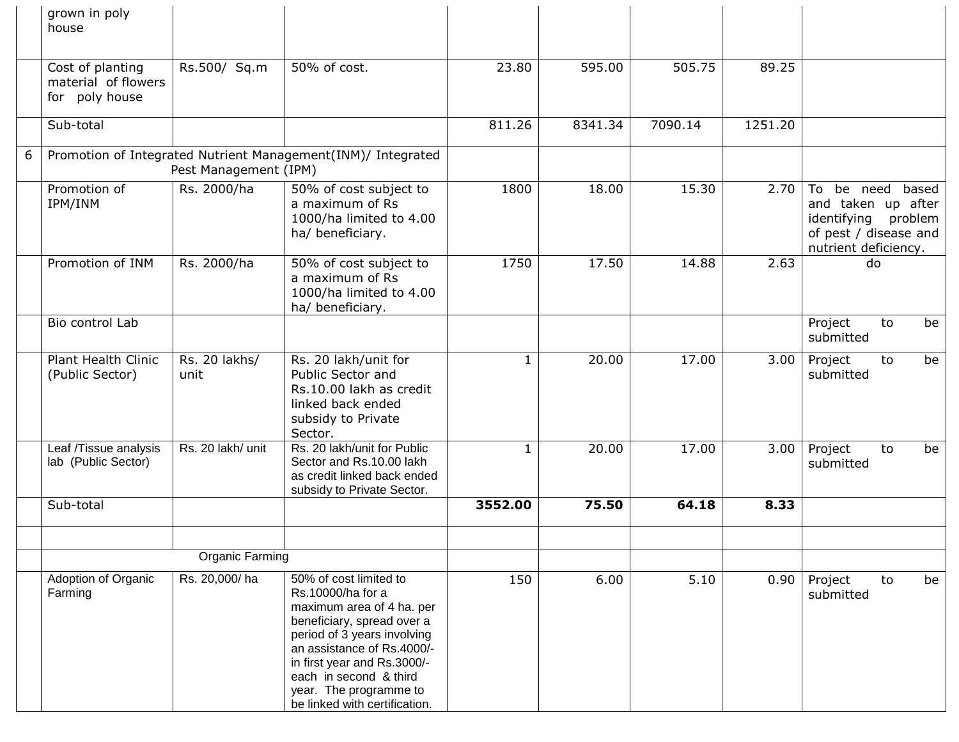|   | grown in poly<br>house                                    |                       |                                                                                                                                                                                                                                                                                         |              |         |         |         |                                                                                                                      |
|---|-----------------------------------------------------------|-----------------------|-----------------------------------------------------------------------------------------------------------------------------------------------------------------------------------------------------------------------------------------------------------------------------------------|--------------|---------|---------|---------|----------------------------------------------------------------------------------------------------------------------|
|   | Cost of planting<br>material of flowers<br>for poly house | Rs.500/ Sq.m          | $\overline{50\%}$ of cost.                                                                                                                                                                                                                                                              | 23.80        | 595.00  | 505.75  | 89.25   |                                                                                                                      |
|   | Sub-total                                                 |                       |                                                                                                                                                                                                                                                                                         | 811.26       | 8341.34 | 7090.14 | 1251.20 |                                                                                                                      |
| 6 |                                                           | Pest Management (IPM) | Promotion of Integrated Nutrient Management(INM)/ Integrated                                                                                                                                                                                                                            |              |         |         |         |                                                                                                                      |
|   | Promotion of<br>IPM/INM                                   | Rs. 2000/ha           | 50% of cost subject to<br>a maximum of Rs<br>1000/ha limited to 4.00<br>ha/ beneficiary.                                                                                                                                                                                                | 1800         | 18.00   | 15.30   | 2.70    | To<br>be need based<br>and taken up after<br>identifying<br>problem<br>of pest / disease and<br>nutrient deficiency. |
|   | Promotion of INM                                          | Rs. 2000/ha           | 50% of cost subject to<br>a maximum of Rs<br>1000/ha limited to 4.00<br>ha/ beneficiary.                                                                                                                                                                                                | 1750         | 17.50   | 14.88   | 2.63    | do                                                                                                                   |
|   | Bio control Lab                                           |                       |                                                                                                                                                                                                                                                                                         |              |         |         |         | Project<br>to<br>be<br>submitted                                                                                     |
|   | Plant Health Clinic<br>(Public Sector)                    | Rs. 20 lakhs/<br>unit | Rs. 20 lakh/unit for<br>Public Sector and<br>Rs.10.00 lakh as credit<br>linked back ended<br>subsidy to Private<br>Sector.                                                                                                                                                              | $\mathbf{1}$ | 20.00   | 17.00   | 3.00    | Project<br>be<br>to<br>submitted                                                                                     |
|   | Leaf /Tissue analysis<br>lab (Public Sector)              | Rs. 20 lakh/ unit     | Rs. 20 lakh/unit for Public<br>Sector and Rs.10.00 lakh<br>as credit linked back ended<br>subsidy to Private Sector.                                                                                                                                                                    | $\mathbf{1}$ | 20.00   | 17.00   | 3.00    | Project<br>to<br>be<br>submitted                                                                                     |
|   | Sub-total                                                 |                       |                                                                                                                                                                                                                                                                                         | 3552.00      | 75.50   | 64.18   | 8.33    |                                                                                                                      |
|   | Organic Farming                                           |                       |                                                                                                                                                                                                                                                                                         |              |         |         |         |                                                                                                                      |
|   | Adoption of Organic<br>Farming                            | Rs. 20,000/ha         | 50% of cost limited to<br>Rs.10000/ha for a<br>maximum area of 4 ha. per<br>beneficiary, spread over a<br>period of 3 years involving<br>an assistance of Rs.4000/-<br>in first year and Rs.3000/-<br>each in second & third<br>year. The programme to<br>be linked with certification. | 150          | 6.00    | 5.10    | 0.90    | Project<br>to<br>be<br>submitted                                                                                     |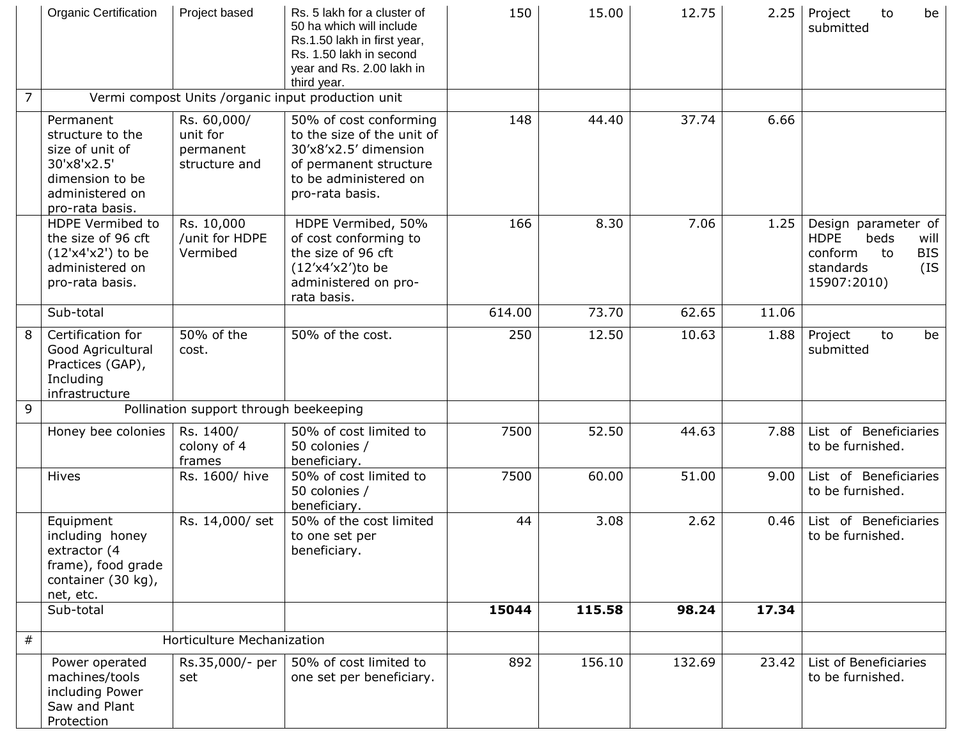|      | <b>Organic Certification</b>                                                                                             | Project based                                         | Rs. 5 lakh for a cluster of<br>50 ha which will include<br>Rs.1.50 lakh in first year,<br>Rs. 1.50 lakh in second<br>year and Rs. 2.00 lakh in<br>third year. | 150    | 15.00  | 12.75  | 2.25  | to<br>Project<br>be<br>submitted                                                                                      |
|------|--------------------------------------------------------------------------------------------------------------------------|-------------------------------------------------------|---------------------------------------------------------------------------------------------------------------------------------------------------------------|--------|--------|--------|-------|-----------------------------------------------------------------------------------------------------------------------|
| 7    |                                                                                                                          |                                                       | Vermi compost Units / organic input production unit                                                                                                           |        |        |        |       |                                                                                                                       |
|      | Permanent<br>structure to the<br>size of unit of<br>30'x8'x2.5'<br>dimension to be<br>administered on<br>pro-rata basis. | Rs. 60,000/<br>unit for<br>permanent<br>structure and | 50% of cost conforming<br>to the size of the unit of<br>30'x8'x2.5' dimension<br>of permanent structure<br>to be administered on<br>pro-rata basis.           | 148    | 44.40  | 37.74  | 6.66  |                                                                                                                       |
|      | HDPE Vermibed to<br>the size of 96 cft<br>(12'x4'x2') to be<br>administered on<br>pro-rata basis.                        | Rs. 10,000<br>/unit for HDPE<br>Vermibed              | HDPE Vermibed, 50%<br>of cost conforming to<br>the size of 96 cft<br>(12'x4'x2')to be<br>administered on pro-<br>rata basis.                                  | 166    | 8.30   | 7.06   | 1.25  | Design parameter of<br><b>HDPE</b><br>beds<br>will<br>conform<br>to<br><b>BIS</b><br>(IS)<br>standards<br>15907:2010) |
|      | Sub-total                                                                                                                |                                                       |                                                                                                                                                               | 614.00 | 73.70  | 62.65  | 11.06 |                                                                                                                       |
| 8    | Certification for<br>Good Agricultural<br>Practices (GAP),<br>Including<br>infrastructure                                | 50% of the<br>cost.                                   | 50% of the cost.                                                                                                                                              | 250    | 12.50  | 10.63  | 1.88  | Project<br>to<br>be<br>submitted                                                                                      |
| 9    |                                                                                                                          | Pollination support through beekeeping                |                                                                                                                                                               |        |        |        |       |                                                                                                                       |
|      | Honey bee colonies                                                                                                       | Rs. 1400/<br>colony of 4<br>frames                    | 50% of cost limited to<br>50 colonies /<br>beneficiary.                                                                                                       | 7500   | 52.50  | 44.63  | 7.88  | List of Beneficiaries<br>to be furnished.                                                                             |
|      | Hives                                                                                                                    | Rs. 1600/ hive                                        | 50% of cost limited to<br>50 colonies /<br>beneficiary.                                                                                                       | 7500   | 60.00  | 51.00  | 9.00  | List of Beneficiaries<br>to be furnished.                                                                             |
|      | Equipment<br>including honey<br>extractor (4<br>frame), food grade<br>container (30 kg),<br>net, etc.                    | Rs. 14,000/ set                                       | 50% of the cost limited<br>to one set per<br>beneficiary.                                                                                                     | 44     | 3.08   | 2.62   | 0.46  | List of Beneficiaries<br>to be furnished.                                                                             |
|      | Sub-total                                                                                                                |                                                       |                                                                                                                                                               | 15044  | 115.58 | 98.24  | 17.34 |                                                                                                                       |
| $\#$ |                                                                                                                          | Horticulture Mechanization                            |                                                                                                                                                               |        |        |        |       |                                                                                                                       |
|      | Power operated<br>machines/tools<br>including Power<br>Saw and Plant<br>Protection                                       | Rs.35,000/- per<br>set                                | 50% of cost limited to<br>one set per beneficiary.                                                                                                            | 892    | 156.10 | 132.69 | 23.42 | List of Beneficiaries<br>to be furnished.                                                                             |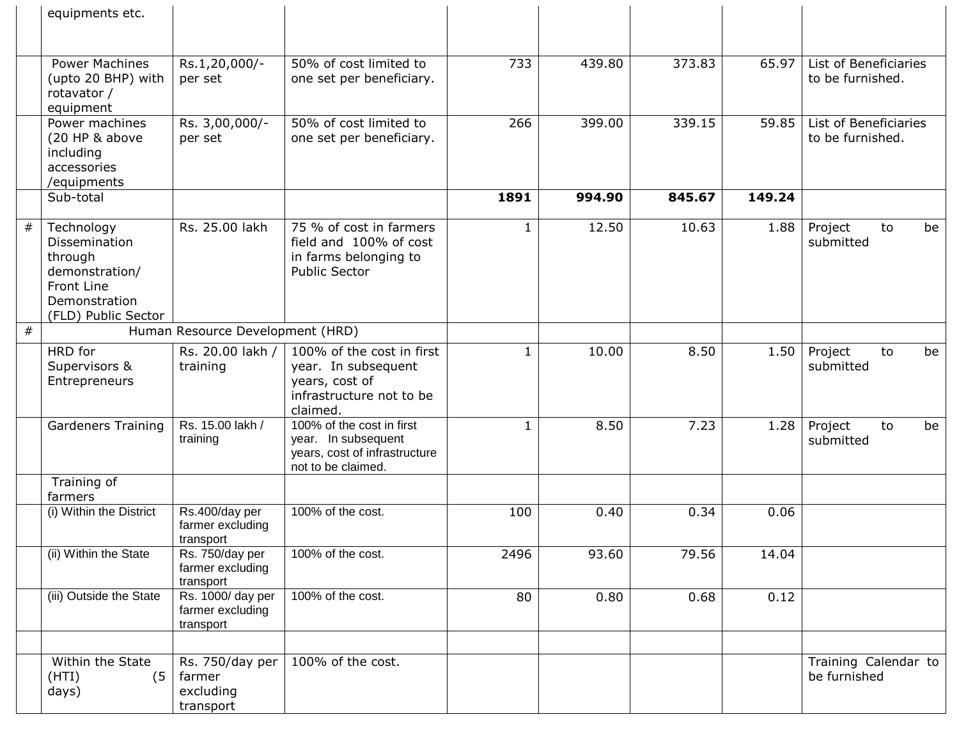|   | equipments etc.                                                                                                |                                                     |                                                                                                            |              |        |        |        |                                           |
|---|----------------------------------------------------------------------------------------------------------------|-----------------------------------------------------|------------------------------------------------------------------------------------------------------------|--------------|--------|--------|--------|-------------------------------------------|
|   | <b>Power Machines</b><br>(upto 20 BHP) with<br>rotavator /<br>equipment                                        | Rs.1,20,000/-<br>per set                            | 50% of cost limited to<br>one set per beneficiary.                                                         | 733          | 439.80 | 373.83 | 65.97  | List of Beneficiaries<br>to be furnished. |
|   | Power machines<br>(20 HP & above<br>including<br>accessories<br>/equipments                                    | Rs. 3,00,000/-<br>per set                           | 50% of cost limited to<br>one set per beneficiary.                                                         | 266          | 399.00 | 339.15 | 59.85  | List of Beneficiaries<br>to be furnished. |
|   | Sub-total                                                                                                      |                                                     |                                                                                                            | 1891         | 994.90 | 845.67 | 149.24 |                                           |
| # | Technology<br>Dissemination<br>through<br>demonstration/<br>Front Line<br>Demonstration<br>(FLD) Public Sector | Rs. 25.00 lakh                                      | 75 % of cost in farmers<br>field and 100% of cost<br>in farms belonging to<br><b>Public Sector</b>         | $\mathbf{1}$ | 12.50  | 10.63  | 1.88   | Project<br>to<br>be<br>submitted          |
| # |                                                                                                                | Human Resource Development (HRD)                    |                                                                                                            |              |        |        |        |                                           |
|   | HRD for<br>Supervisors &<br>Entrepreneurs                                                                      | Rs. 20.00 lakh /<br>training                        | 100% of the cost in first<br>year. In subsequent<br>years, cost of<br>infrastructure not to be<br>claimed. | 1            | 10.00  | 8.50   | 1.50   | Project<br>to<br>be<br>submitted          |
|   | <b>Gardeners Training</b>                                                                                      | Rs. 15.00 lakh /<br>training                        | 100% of the cost in first<br>year. In subsequent<br>years, cost of infrastructure<br>not to be claimed.    | 1            | 8.50   | 7.23   | 1.28   | Project<br>to<br>be<br>submitted          |
|   | Training of<br>farmers                                                                                         |                                                     |                                                                                                            |              |        |        |        |                                           |
|   | (i) Within the District                                                                                        | Rs.400/day per<br>farmer excluding<br>transport     | 100% of the cost.                                                                                          | 100          | 0.40   | 0.34   | 0.06   |                                           |
|   | (ii) Within the State                                                                                          | Rs. 750/day per<br>farmer excluding<br>transport    | 100% of the cost.                                                                                          | 2496         | 93.60  | 79.56  | 14.04  |                                           |
|   | (iii) Outside the State                                                                                        | Rs. 1000/ day per<br>farmer excluding<br>transport  | 100% of the cost.                                                                                          | 80           | 0.80   | 0.68   | 0.12   |                                           |
|   | Within the State<br>(5)<br>(HTI)<br>days)                                                                      | Rs. 750/day per<br>farmer<br>excluding<br>transport | 100% of the cost.                                                                                          |              |        |        |        | Training Calendar to<br>be furnished      |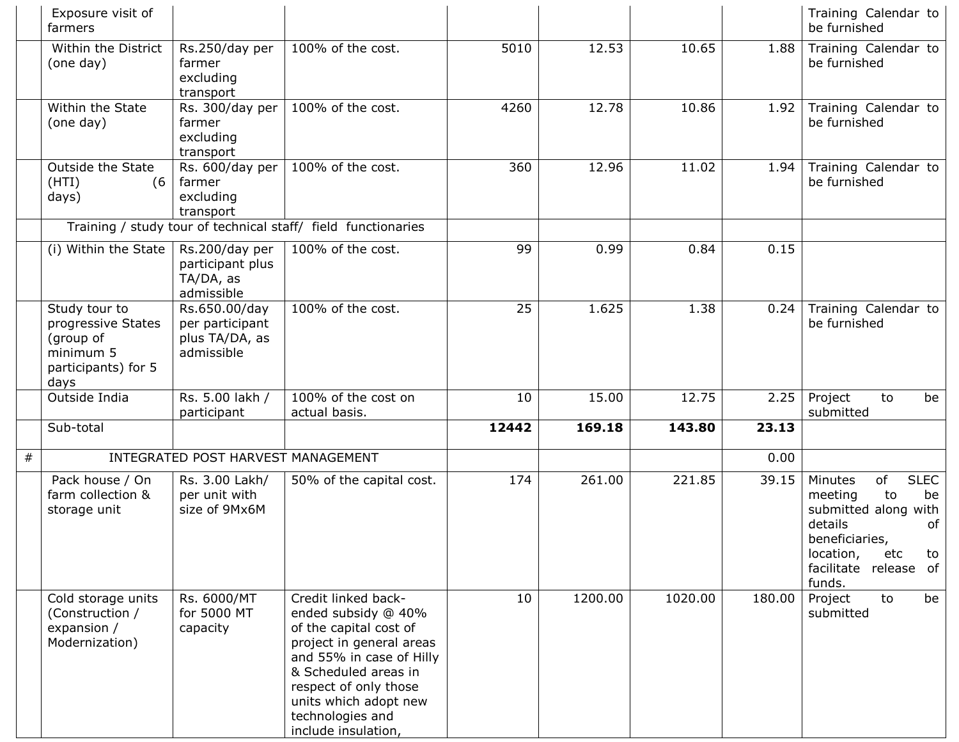|   | Exposure visit of<br>farmers                                                                 |                                                                  |                                                                                                                                                                                                                                                   |       |         |         |        | Training Calendar to<br>be furnished                                                                                                                                        |
|---|----------------------------------------------------------------------------------------------|------------------------------------------------------------------|---------------------------------------------------------------------------------------------------------------------------------------------------------------------------------------------------------------------------------------------------|-------|---------|---------|--------|-----------------------------------------------------------------------------------------------------------------------------------------------------------------------------|
|   | Within the District<br>(one day)                                                             | Rs.250/day per<br>farmer<br>excluding<br>transport               | 100% of the cost.                                                                                                                                                                                                                                 | 5010  | 12.53   | 10.65   | 1.88   | Training Calendar to<br>be furnished                                                                                                                                        |
|   | Within the State<br>(one day)                                                                | Rs. 300/day per<br>farmer<br>excluding<br>transport              | 100% of the cost.                                                                                                                                                                                                                                 | 4260  | 12.78   | 10.86   | 1.92   | Training Calendar to<br>be furnished                                                                                                                                        |
|   | <b>Outside the State</b><br>(HTI)<br>(6)<br>days)                                            | Rs. 600/day per<br>farmer<br>excluding<br>transport              | 100% of the cost.                                                                                                                                                                                                                                 | 360   | 12.96   | 11.02   | 1.94   | Training Calendar to<br>be furnished                                                                                                                                        |
|   |                                                                                              |                                                                  | Training / study tour of technical staff/ field functionaries                                                                                                                                                                                     |       |         |         |        |                                                                                                                                                                             |
|   | (i) Within the State                                                                         | Rs.200/day per<br>participant plus<br>TA/DA, as<br>admissible    | 100% of the cost.                                                                                                                                                                                                                                 | 99    | 0.99    | 0.84    | 0.15   |                                                                                                                                                                             |
|   | Study tour to<br>progressive States<br>(group of<br>minimum 5<br>participants) for 5<br>days | Rs.650.00/day<br>per participant<br>plus TA/DA, as<br>admissible | 100% of the cost.                                                                                                                                                                                                                                 | 25    | 1.625   | 1.38    | 0.24   | Training Calendar to<br>be furnished                                                                                                                                        |
|   | Outside India                                                                                | Rs. 5.00 lakh /<br>participant                                   | 100% of the cost on<br>actual basis.                                                                                                                                                                                                              | 10    | 15.00   | 12.75   | 2.25   | Project<br>to<br>be<br>submitted                                                                                                                                            |
|   | Sub-total                                                                                    |                                                                  |                                                                                                                                                                                                                                                   | 12442 | 169.18  | 143.80  | 23.13  |                                                                                                                                                                             |
| # |                                                                                              | INTEGRATED POST HARVEST MANAGEMENT                               |                                                                                                                                                                                                                                                   |       |         |         | 0.00   |                                                                                                                                                                             |
|   | Pack house / On<br>farm collection &<br>storage unit                                         | Rs. 3.00 Lakh/<br>per unit with<br>size of 9Mx6M                 | 50% of the capital cost.                                                                                                                                                                                                                          | 174   | 261.00  | 221.85  | 39.15  | <b>SLEC</b><br>of<br>Minutes<br>to<br>meeting<br>be<br>submitted along with<br>details<br>of<br>beneficiaries,<br>etc<br>location,<br>to<br>facilitate release of<br>funds. |
|   | Cold storage units<br>(Construction /<br>expansion /<br>Modernization)                       | Rs. 6000/MT<br>for 5000 MT<br>capacity                           | Credit linked back-<br>ended subsidy @ 40%<br>of the capital cost of<br>project in general areas<br>and 55% in case of Hilly<br>& Scheduled areas in<br>respect of only those<br>units which adopt new<br>technologies and<br>include insulation, | 10    | 1200.00 | 1020.00 | 180.00 | Project<br>to<br>be<br>submitted                                                                                                                                            |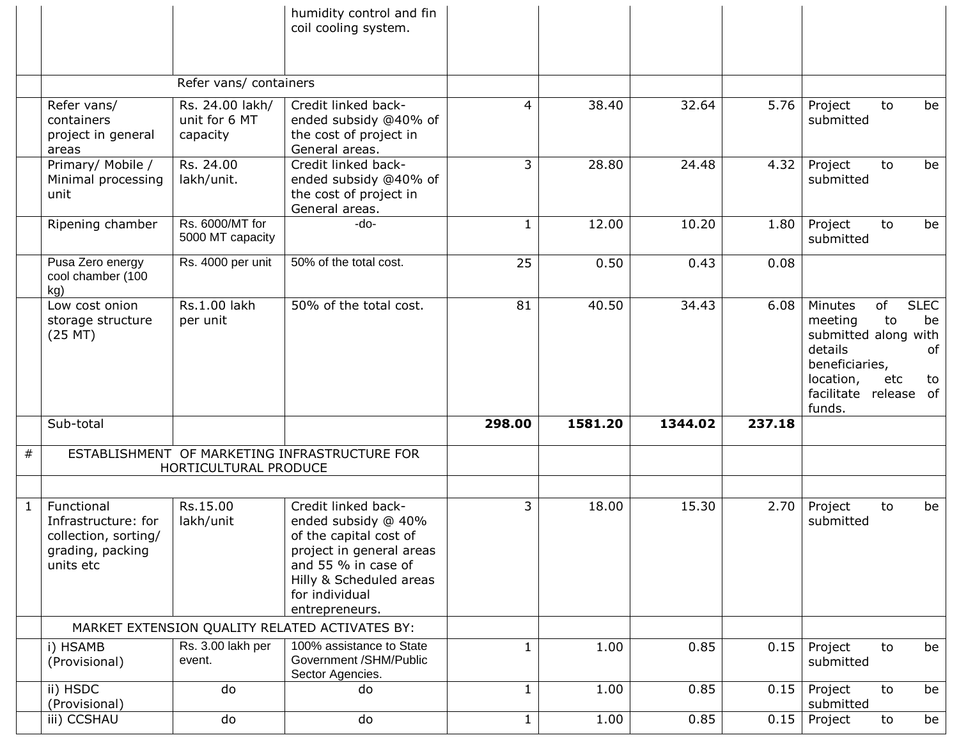|              |                                                                                            |                                              | humidity control and fin<br>coil cooling system.                                                                                                                                       |              |         |         |        |                                                                                                              |                               |                               |
|--------------|--------------------------------------------------------------------------------------------|----------------------------------------------|----------------------------------------------------------------------------------------------------------------------------------------------------------------------------------------|--------------|---------|---------|--------|--------------------------------------------------------------------------------------------------------------|-------------------------------|-------------------------------|
|              |                                                                                            | Refer vans/ containers                       |                                                                                                                                                                                        |              |         |         |        |                                                                                                              |                               |                               |
|              | Refer vans/<br>containers<br>project in general<br>areas                                   | Rs. 24.00 lakh/<br>unit for 6 MT<br>capacity | Credit linked back-<br>ended subsidy @40% of<br>the cost of project in<br>General areas.                                                                                               | 4            | 38.40   | 32.64   | 5.76   | Project<br>submitted                                                                                         | to                            | be                            |
|              | Primary/ Mobile /<br>Minimal processing<br>unit                                            | Rs. 24.00<br>lakh/unit.                      | Credit linked back-<br>ended subsidy @40% of<br>the cost of project in<br>General areas.                                                                                               | 3            | 28.80   | 24.48   | 4.32   | Project<br>submitted                                                                                         | to                            | be                            |
|              | Ripening chamber                                                                           | Rs. 6000/MT for<br>5000 MT capacity          | -do-                                                                                                                                                                                   | $\mathbf{1}$ | 12.00   | 10.20   | 1.80   | Project<br>submitted                                                                                         | to                            | be                            |
|              | Pusa Zero energy<br>cool chamber (100<br>kg)                                               | Rs. 4000 per unit                            | 50% of the total cost.                                                                                                                                                                 | 25           | 0.50    | 0.43    | 0.08   |                                                                                                              |                               |                               |
|              | Low cost onion<br>storage structure<br>$(25$ MT $)$                                        | Rs.1.00 lakh<br>per unit                     | 50% of the total cost.                                                                                                                                                                 | 81           | 40.50   | 34.43   | 6.08   | Minutes<br>meeting<br>submitted along with<br>details<br>beneficiaries,<br>location,<br>facilitate<br>funds. | of<br>to<br>etc<br>release of | <b>SLEC</b><br>be<br>of<br>to |
|              | Sub-total                                                                                  |                                              |                                                                                                                                                                                        | 298.00       | 1581.20 | 1344.02 | 237.18 |                                                                                                              |                               |                               |
| #            |                                                                                            | HORTICULTURAL PRODUCE                        | ESTABLISHMENT OF MARKETING INFRASTRUCTURE FOR                                                                                                                                          |              |         |         |        |                                                                                                              |                               |                               |
| $\mathbf{1}$ | Functional<br>Infrastructure: for<br>collection, sorting/<br>grading, packing<br>units etc | Rs.15.00<br>lakh/unit                        | Credit linked back-<br>ended subsidy @ 40%<br>of the capital cost of<br>project in general areas<br>and 55 % in case of<br>Hilly & Scheduled areas<br>for individual<br>entrepreneurs. | 3            | 18.00   | 15.30   | 2.70   | Project<br>submitted                                                                                         | to                            | be                            |
|              |                                                                                            |                                              | MARKET EXTENSION QUALITY RELATED ACTIVATES BY:                                                                                                                                         |              |         |         |        |                                                                                                              |                               |                               |
|              | i) HSAMB<br>(Provisional)                                                                  | Rs. 3.00 lakh per<br>event.                  | 100% assistance to State<br>Government /SHM/Public                                                                                                                                     | $\mathbf{1}$ | 1.00    | 0.85    | 0.15   | Project<br>submitted                                                                                         | to                            | be                            |
|              |                                                                                            |                                              | Sector Agencies.                                                                                                                                                                       |              |         |         |        |                                                                                                              |                               |                               |
|              | $ii)$ HSDC<br>(Provisional)                                                                | do                                           | do                                                                                                                                                                                     | $\mathbf{1}$ | 1.00    | 0.85    | 0.15   | Project<br>submitted                                                                                         | to                            | be                            |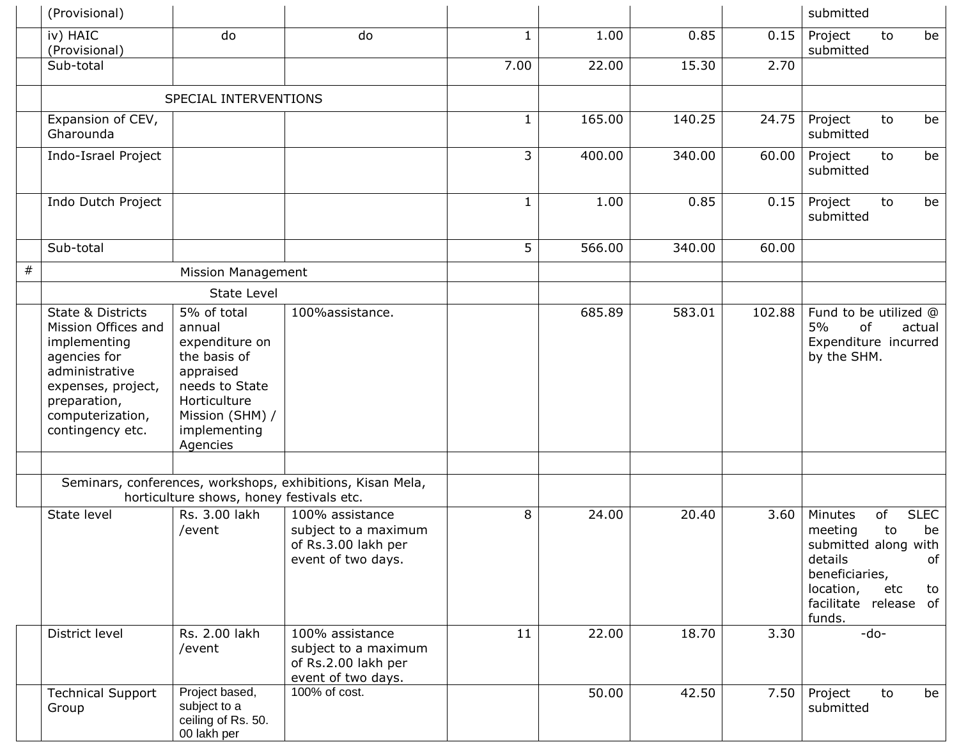|      | (Provisional)                                                                                                                                                            |                                                                                                                                                       |                                                                                      |              |        |        |        | submitted                                                                                                                                                                   |
|------|--------------------------------------------------------------------------------------------------------------------------------------------------------------------------|-------------------------------------------------------------------------------------------------------------------------------------------------------|--------------------------------------------------------------------------------------|--------------|--------|--------|--------|-----------------------------------------------------------------------------------------------------------------------------------------------------------------------------|
|      | iv) HAIC<br>(Provisional)                                                                                                                                                | do                                                                                                                                                    | do                                                                                   | $\mathbf{1}$ | 1.00   | 0.85   | 0.15   | Project<br>to<br>be<br>submitted                                                                                                                                            |
|      | Sub-total                                                                                                                                                                |                                                                                                                                                       |                                                                                      | 7.00         | 22.00  | 15.30  | 2.70   |                                                                                                                                                                             |
|      |                                                                                                                                                                          | SPECIAL INTERVENTIONS                                                                                                                                 |                                                                                      |              |        |        |        |                                                                                                                                                                             |
|      | Expansion of CEV,<br>Gharounda                                                                                                                                           |                                                                                                                                                       |                                                                                      | 1            | 165.00 | 140.25 | 24.75  | Project<br>be<br>to<br>submitted                                                                                                                                            |
|      | Indo-Israel Project                                                                                                                                                      |                                                                                                                                                       |                                                                                      | 3            | 400.00 | 340.00 | 60.00  | Project<br>be<br>to<br>submitted                                                                                                                                            |
|      | Indo Dutch Project                                                                                                                                                       |                                                                                                                                                       |                                                                                      | 1            | 1.00   | 0.85   | 0.15   | Project<br>to<br>be<br>submitted                                                                                                                                            |
|      | Sub-total                                                                                                                                                                |                                                                                                                                                       |                                                                                      | 5            | 566.00 | 340.00 | 60.00  |                                                                                                                                                                             |
| $\#$ |                                                                                                                                                                          | Mission Management                                                                                                                                    |                                                                                      |              |        |        |        |                                                                                                                                                                             |
|      |                                                                                                                                                                          | State Level                                                                                                                                           |                                                                                      |              |        |        |        |                                                                                                                                                                             |
|      | State & Districts<br>Mission Offices and<br>implementing<br>agencies for<br>administrative<br>expenses, project,<br>preparation,<br>computerization,<br>contingency etc. | 5% of total<br>annual<br>expenditure on<br>the basis of<br>appraised<br>needs to State<br>Horticulture<br>Mission (SHM) /<br>implementing<br>Agencies | 100%assistance.                                                                      |              | 685.89 | 583.01 | 102.88 | Fund to be utilized @<br>5%<br>of<br>actual<br>Expenditure incurred<br>by the SHM.                                                                                          |
|      |                                                                                                                                                                          |                                                                                                                                                       | Seminars, conferences, workshops, exhibitions, Kisan Mela,                           |              |        |        |        |                                                                                                                                                                             |
|      |                                                                                                                                                                          | horticulture shows, honey festivals etc.                                                                                                              |                                                                                      |              |        |        |        |                                                                                                                                                                             |
|      | State level                                                                                                                                                              | Rs. 3.00 lakh<br>/event                                                                                                                               | 100% assistance<br>subject to a maximum<br>of Rs.3.00 lakh per<br>event of two days. | 8            | 24.00  | 20.40  | 3.60   | Minutes<br><b>SLEC</b><br>of<br>meeting<br>to<br>be<br>submitted along with<br>details<br>of<br>beneficiaries,<br>location,<br>etc<br>to<br>facilitate release of<br>funds. |
|      | District level                                                                                                                                                           | Rs. 2.00 lakh<br>/event                                                                                                                               | 100% assistance<br>subject to a maximum<br>of Rs.2.00 lakh per<br>event of two days. | 11           | 22.00  | 18.70  | 3.30   | $-do-$                                                                                                                                                                      |
|      | <b>Technical Support</b><br>Group                                                                                                                                        | Project based,<br>subject to a<br>ceiling of Rs. 50.<br>00 lakh per                                                                                   | 100% of cost.                                                                        |              | 50.00  | 42.50  | 7.50   | Project<br>be<br>to<br>submitted                                                                                                                                            |